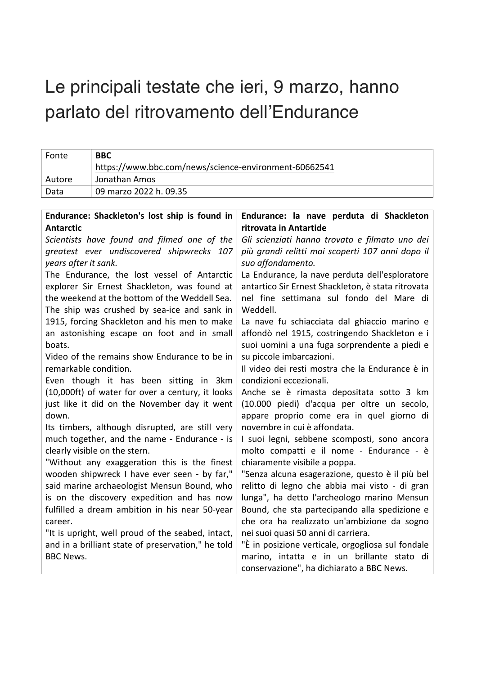# Le principali testate che ieri, 9 marzo, hanno parlato del ritrovamento dell'Endurance

| Fonte  | <b>BBC</b>                                            |
|--------|-------------------------------------------------------|
|        | https://www.bbc.com/news/science-environment-60662541 |
| Autore | Jonathan Amos                                         |
| Data   | 09 marzo 2022 h. 09.35                                |

| Endurance: Shackleton's lost ship is found in      | Endurance: la nave perduta di Shackleton           |
|----------------------------------------------------|----------------------------------------------------|
| <b>Antarctic</b>                                   | ritrovata in Antartide                             |
| Scientists have found and filmed one of the        | Gli scienziati hanno trovato e filmato uno dei     |
| greatest ever undiscovered shipwrecks 107          | più grandi relitti mai scoperti 107 anni dopo il   |
| years after it sank.                               | suo affondamento.                                  |
| The Endurance, the lost vessel of Antarctic        | La Endurance, la nave perduta dell'esploratore     |
| explorer Sir Ernest Shackleton, was found at       | antartico Sir Ernest Shackleton, è stata ritrovata |
| the weekend at the bottom of the Weddell Sea.      | nel fine settimana sul fondo del Mare di           |
| The ship was crushed by sea-ice and sank in        | Weddell.                                           |
| 1915, forcing Shackleton and his men to make       | La nave fu schiacciata dal ghiaccio marino e       |
| an astonishing escape on foot and in small         | affondò nel 1915, costringendo Shackleton e i      |
| boats.                                             | suoi uomini a una fuga sorprendente a piedi e      |
| Video of the remains show Endurance to be in       | su piccole imbarcazioni.                           |
| remarkable condition.                              | Il video dei resti mostra che la Endurance è in    |
| Even though it has been sitting in 3km             | condizioni eccezionali.                            |
| (10,000ft) of water for over a century, it looks   | Anche se è rimasta depositata sotto 3 km           |
| just like it did on the November day it went       | (10.000 piedi) d'acqua per oltre un secolo,        |
| down.                                              | appare proprio come era in quel giorno di          |
| Its timbers, although disrupted, are still very    | novembre in cui è affondata.                       |
| much together, and the name - Endurance - is       | I suoi legni, sebbene scomposti, sono ancora       |
| clearly visible on the stern.                      | molto compatti e il nome - Endurance - è           |
| "Without any exaggeration this is the finest       | chiaramente visibile a poppa.                      |
| wooden shipwreck I have ever seen - by far,"       | "Senza alcuna esagerazione, questo è il più bel    |
| said marine archaeologist Mensun Bound, who        | relitto di legno che abbia mai visto - di gran     |
| is on the discovery expedition and has now         | lunga", ha detto l'archeologo marino Mensun        |
| fulfilled a dream ambition in his near 50-year     | Bound, che sta partecipando alla spedizione e      |
| career.                                            | che ora ha realizzato un'ambizione da sogno        |
| "It is upright, well proud of the seabed, intact,  | nei suoi quasi 50 anni di carriera.                |
| and in a brilliant state of preservation," he told | "È in posizione verticale, orgogliosa sul fondale  |
| <b>BBC News.</b>                                   | marino, intatta e in un brillante stato di         |
|                                                    | conservazione", ha dichiarato a BBC News.          |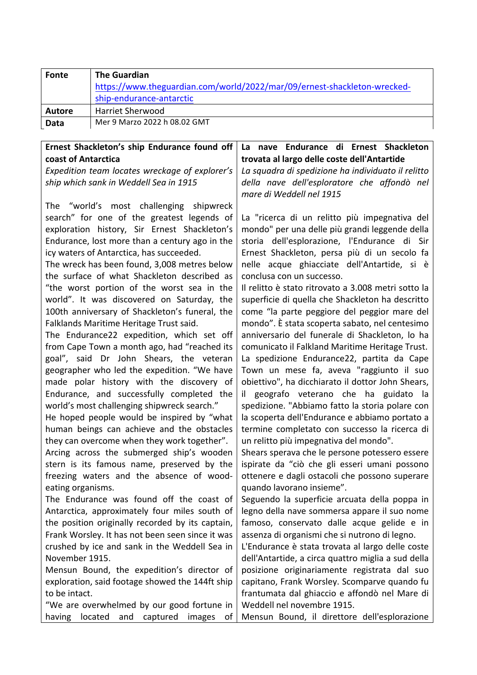| Fonte       | <b>The Guardian</b><br>https://www.theguardian.com/world/2022/mar/09/ernest-shackleton-wrecked-<br>ship-endurance-antarctic |
|-------------|-----------------------------------------------------------------------------------------------------------------------------|
| Autore      | <b>Harriet Sherwood</b>                                                                                                     |
| <b>Data</b> | Mer 9 Marzo 2022 h 08.02 GMT                                                                                                |

## **Ernest Shackleton's ship Endurance found off coast of Antarctica**

*Expedition team locates wreckage of explorer's ship which sank in Weddell Sea in 1915*

The "world's most challenging shipwreck search" for one of the greatest legends of exploration history, Sir Ernest Shackleton's Endurance, lost more than a century ago in the icy waters of Antarctica, has succeeded.

The wreck has been found, 3,008 metres below the surface of what Shackleton described as "the worst portion of the worst sea in the world". It was discovered on Saturday, the 100th anniversary of Shackleton's funeral, the Falklands Maritime Heritage Trust said.

The Endurance22 expedition, which set off from Cape Town a month ago, had "reached its goal", said Dr John Shears, the veteran geographer who led the expedition. "We have made polar history with the discovery of Endurance, and successfully completed the world's most challenging shipwreck search."

He hoped people would be inspired by "what human beings can achieve and the obstacles they can overcome when they work together".

Arcing across the submerged ship's wooden stern is its famous name, preserved by the freezing waters and the absence of woodeating organisms.

The Endurance was found off the coast of Antarctica, approximately four miles south of the position originally recorded by its captain, Frank Worsley. It has not been seen since it was crushed by ice and sank in the Weddell Sea in November 1915.

Mensun Bound, the expedition's director of exploration, said footage showed the 144ft ship to be intact.

"We are overwhelmed by our good fortune in having located and captured images of

### **La nave Endurance di Ernest Shackleton trovata al largo delle coste dell'Antartide**

*La squadra di spedizione ha individuato il relitto della nave dell'esploratore che affondò nel mare di Weddell nel 1915*

La "ricerca di un relitto più impegnativa del mondo" per una delle più grandi leggende della storia dell'esplorazione, l'Endurance di Sir Ernest Shackleton, persa più di un secolo fa nelle acque ghiacciate dell'Antartide, si è conclusa con un successo.

Il relitto è stato ritrovato a 3.008 metri sotto la superficie di quella che Shackleton ha descritto come "la parte peggiore del peggior mare del mondo". È stata scoperta sabato, nel centesimo anniversario del funerale di Shackleton, lo ha comunicato il Falkland Maritime Heritage Trust. La spedizione Endurance22, partita da Cape Town un mese fa, aveva "raggiunto il suo obiettivo", ha dicchiarato il dottor John Shears, il geografo veterano che ha guidato la spedizione. "Abbiamo fatto la storia polare con la scoperta dell'Endurance e abbiamo portato a termine completato con successo la ricerca di un relitto più impegnativa del mondo".

Shears sperava che le persone potessero essere ispirate da "ciò che gli esseri umani possono ottenere e dagli ostacoli che possono superare quando lavorano insieme".

Seguendo la superficie arcuata della poppa in legno della nave sommersa appare il suo nome famoso, conservato dalle acque gelide e in assenza di organismi che si nutrono di legno.

L'Endurance è stata trovata al largo delle coste dell'Antartide, a circa quattro miglia a sud della posizione originariamente registrata dal suo capitano, Frank Worsley. Scomparve quando fu frantumata dal ghiaccio e affondò nel Mare di Weddell nel novembre 1915.

Mensun Bound, il direttore dell'esplorazione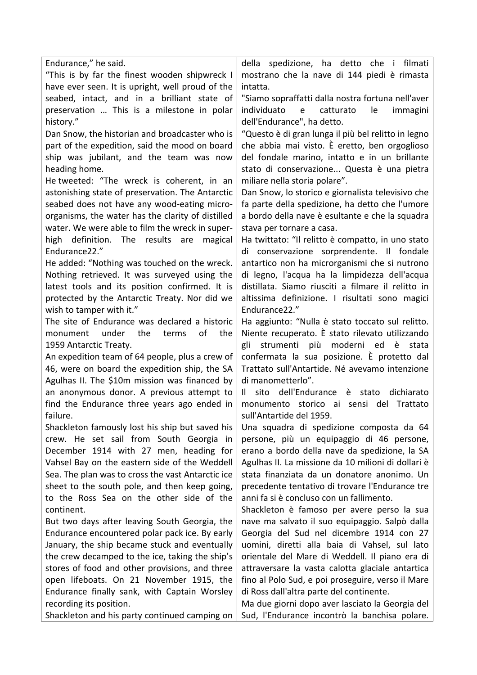| Endurance," he said.                              | della spedizione, ha detto che i filmati            |
|---------------------------------------------------|-----------------------------------------------------|
| "This is by far the finest wooden shipwreck I     | mostrano che la nave di 144 piedi è rimasta         |
| have ever seen. It is upright, well proud of the  | intatta.                                            |
| seabed, intact, and in a brilliant state of       | "Siamo sopraffatti dalla nostra fortuna nell'aver   |
| preservation  This is a milestone in polar        | individuato<br>le<br>immagini<br>catturato<br>e     |
| history."                                         | dell'Endurance", ha detto.                          |
| Dan Snow, the historian and broadcaster who is    | "Questo è di gran lunga il più bel relitto in legno |
| part of the expedition, said the mood on board    | che abbia mai visto. È eretto, ben orgoglioso       |
| ship was jubilant, and the team was now           | del fondale marino, intatto e in un brillante       |
| heading home.                                     | stato di conservazione Questa è una pietra          |
| He tweeted: "The wreck is coherent, in an         | miliare nella storia polare".                       |
| astonishing state of preservation. The Antarctic  | Dan Snow, lo storico e giornalista televisivo che   |
| seabed does not have any wood-eating micro-       | fa parte della spedizione, ha detto che l'umore     |
| organisms, the water has the clarity of distilled | a bordo della nave è esultante e che la squadra     |
| water. We were able to film the wreck in super-   | stava per tornare a casa.                           |
| high definition. The results are<br>magical       | Ha twittato: "Il relitto è compatto, in uno stato   |
| Endurance22."                                     | di conservazione sorprendente. Il fondale           |
| He added: "Nothing was touched on the wreck.      | antartico non ha microrganismi che si nutrono       |
| Nothing retrieved. It was surveyed using the      | di legno, l'acqua ha la limpidezza dell'acqua       |
| latest tools and its position confirmed. It is    | distillata. Siamo riusciti a filmare il relitto in  |
| protected by the Antarctic Treaty. Nor did we     | altissima definizione. I risultati sono magici      |
| wish to tamper with it."                          | Endurance22."                                       |
| The site of Endurance was declared a historic     | Ha aggiunto: "Nulla è stato toccato sul relitto.    |
| under<br>the<br>of<br>the<br>terms<br>monument    | Niente recuperato. È stato rilevato utilizzando     |
| 1959 Antarctic Treaty.                            | strumenti<br>più moderni ed è<br>gli<br>stata       |
| An expedition team of 64 people, plus a crew of   | confermata la sua posizione. È protetto dal         |
| 46, were on board the expedition ship, the SA     | Trattato sull'Antartide. Né avevamo intenzione      |
| Agulhas II. The \$10m mission was financed by     | di manometterlo".                                   |
| an anonymous donor. A previous attempt to         | sito dell'Endurance<br>dichiarato<br>Ш.<br>è stato  |
| find the Endurance three years ago ended in       | monumento storico ai sensi del Trattato             |
| failure                                           | sull'Antartide del 1959.                            |
| Shackleton famously lost his ship but saved his   | Una squadra di spedizione composta da 64            |
| crew. He set sail from South Georgia in           | persone, più un equipaggio di 46 persone,           |
| December 1914 with 27 men, heading for            | erano a bordo della nave da spedizione, la SA       |
| Vahsel Bay on the eastern side of the Weddell     | Agulhas II. La missione da 10 milioni di dollari è  |
| Sea. The plan was to cross the vast Antarctic ice | stata finanziata da un donatore anonimo. Un         |
| sheet to the south pole, and then keep going,     | precedente tentativo di trovare l'Endurance tre     |
| to the Ross Sea on the other side of the          | anni fa si è concluso con un fallimento.            |
| continent.                                        | Shackleton è famoso per avere perso la sua          |
| But two days after leaving South Georgia, the     | nave ma salvato il suo equipaggio. Salpò dalla      |
| Endurance encountered polar pack ice. By early    | Georgia del Sud nel dicembre 1914 con 27            |
| January, the ship became stuck and eventually     | uomini, diretti alla baia di Vahsel, sul lato       |
| the crew decamped to the ice, taking the ship's   | orientale del Mare di Weddell. Il piano era di      |
| stores of food and other provisions, and three    | attraversare la vasta calotta glaciale antartica    |
| open lifeboats. On 21 November 1915, the          | fino al Polo Sud, e poi proseguire, verso il Mare   |
| Endurance finally sank, with Captain Worsley      | di Ross dall'altra parte del continente.            |
| recording its position.                           | Ma due giorni dopo aver lasciato la Georgia del     |
| Shackleton and his party continued camping on     | Sud, l'Endurance incontrò la banchisa polare.       |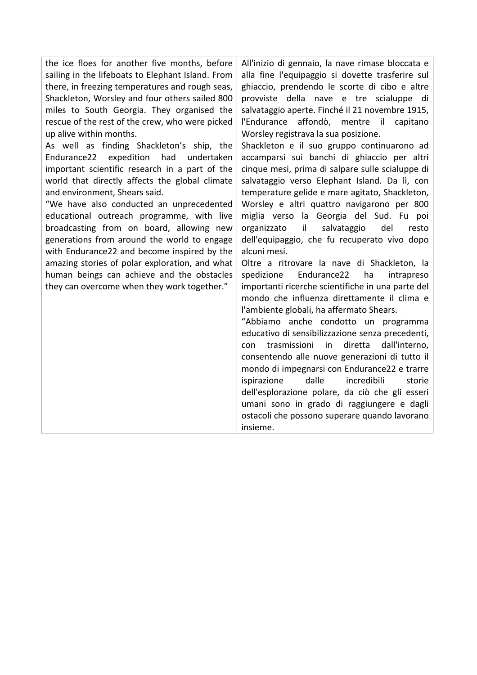| the ice floes for another five months, before     | All'inizio di gennaio, la nave rimase bloccata e      |
|---------------------------------------------------|-------------------------------------------------------|
| sailing in the lifeboats to Elephant Island. From | alla fine l'equipaggio si dovette trasferire sul      |
| there, in freezing temperatures and rough seas,   | ghiaccio, prendendo le scorte di cibo e altre         |
| Shackleton, Worsley and four others sailed 800    | provviste della nave e tre scialuppe di               |
| miles to South Georgia. They organised the        | salvataggio aperte. Finché il 21 novembre 1915,       |
| rescue of the rest of the crew, who were picked   | l'Endurance affondò, mentre il capitano               |
| up alive within months.                           | Worsley registrava la sua posizione.                  |
| As well as finding Shackleton's ship, the         | Shackleton e il suo gruppo continuarono ad            |
| had<br>Endurance22<br>expedition<br>undertaken    | accamparsi sui banchi di ghiaccio per altri           |
| important scientific research in a part of the    | cinque mesi, prima di salpare sulle scialuppe di      |
| world that directly affects the global climate    | salvataggio verso Elephant Island. Da lì, con         |
| and environment, Shears said.                     | temperature gelide e mare agitato, Shackleton,        |
| "We have also conducted an unprecedented          | Worsley e altri quattro navigarono per 800            |
| educational outreach programme, with live         | miglia verso la Georgia del Sud. Fu poi               |
| broadcasting from on board, allowing new          | il.<br>salvataggio<br>del<br>organizzato<br>resto     |
| generations from around the world to engage       | dell'equipaggio, che fu recuperato vivo dopo          |
| with Endurance22 and become inspired by the       | alcuni mesi.                                          |
| amazing stories of polar exploration, and what    | Oltre a ritrovare la nave di Shackleton, la           |
| human beings can achieve and the obstacles        | Endurance22<br>ha<br>spedizione<br>intrapreso         |
| they can overcome when they work together."       | importanti ricerche scientifiche in una parte del     |
|                                                   | mondo che influenza direttamente il clima e           |
|                                                   | l'ambiente globali, ha affermato Shears.              |
|                                                   | "Abbiamo anche condotto un programma                  |
|                                                   | educativo di sensibilizzazione senza precedenti,      |
|                                                   | diretta<br>trasmissioni<br>in<br>dall'interno,<br>con |
|                                                   | consentendo alle nuove generazioni di tutto il        |
|                                                   | mondo di impegnarsi con Endurance22 e trarre          |
|                                                   | dalle<br>incredibili<br>ispirazione<br>storie         |
|                                                   | dell'esplorazione polare, da ciò che gli esseri       |
|                                                   | umani sono in grado di raggiungere e dagli            |
|                                                   | ostacoli che possono superare quando lavorano         |
|                                                   | insieme.                                              |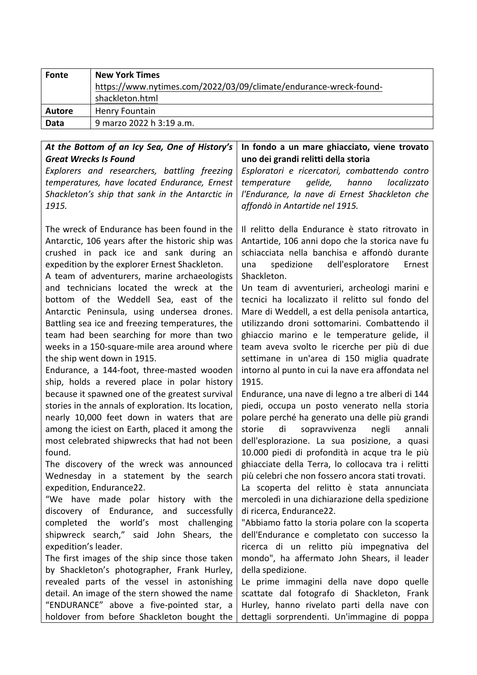| Fonte         | <b>New York Times</b>                                             |
|---------------|-------------------------------------------------------------------|
|               | https://www.nytimes.com/2022/03/09/climate/endurance-wreck-found- |
|               | shackleton.html                                                   |
| <b>Autore</b> | <b>Henry Fountain</b>                                             |
| Data          | 9 marzo 2022 h 3:19 a.m.                                          |

#### At the Bottom of an Icy Sea, One of History's *Great Wrecks Is Found Explorers and researchers, battling freezing temperatures, have located Endurance, Ernest*  Shackleton's ship that sank in the Antarctic in *1915.* The wreck of Endurance has been found in the Antarctic, 106 years after the historic ship was crushed in pack ice and sank during an expedition by the explorer Ernest Shackleton. A team of adventurers, marine archaeologists and technicians located the wreck at the bottom of the Weddell Sea, east of the Antarctic Peninsula, using undersea drones. Battling sea ice and freezing temperatures, the team had been searching for more than two weeks in a 150-square-mile area around where the ship went down in 1915. Endurance, a 144-foot, three-masted wooden ship, holds a revered place in polar history because it spawned one of the greatest survival stories in the annals of exploration. Its location, nearly 10,000 feet down in waters that are among the iciest on Earth, placed it among the most celebrated shipwrecks that had not been found. The discovery of the wreck was announced Wednesday in a statement by the search expedition, Endurance22. "We have made polar history with the discovery of Endurance, and successfully completed the world's most challenging shipwreck search," said John Shears, the expedition's leader. The first images of the ship since those taken by Shackleton's photographer, Frank Hurley, revealed parts of the vessel in astonishing detail. An image of the stern showed the name "ENDURANCE" above a five-pointed star, a In fondo a un mare ghiacciato, viene trovato **uno dei grandi relitti della storia** *Esploratori e ricercatori, combattendo contro temperature gelide, hanno localizzato l'Endurance, la nave di Ernest Shackleton che affondò in Antartide nel 1915.* Il relitto della Endurance è stato ritrovato in Antartide, 106 anni dopo che la storica nave fu schiacciata nella banchisa e affondò durante una spedizione dell'esploratore Ernest Shackleton. Un team di avventurieri, archeologi marini e tecnici ha localizzato il relitto sul fondo del Mare di Weddell, a est della penisola antartica, utilizzando droni sottomarini. Combattendo il ghiaccio marino e le temperature gelide, il team aveva svolto le ricerche per più di due settimane in un'area di 150 miglia quadrate intorno al punto in cui la nave era affondata nel 1915. Endurance, una nave di legno a tre alberi di 144 piedi, occupa un posto venerato nella storia polare perché ha generato una delle più grandi storie di sopravvivenza negli annali dell'esplorazione. La sua posizione, a quasi 10.000 piedi di profondità in acque tra le più ghiacciate della Terra, lo collocava tra i relitti più celebri che non fossero ancora stati trovati. La scoperta del relitto è stata annunciata mercoledì in una dichiarazione della spedizione di ricerca, Endurance22. "Abbiamo fatto la storia polare con la scoperta dell'Endurance e completato con successo la ricerca di un relitto più impegnativa del mondo", ha affermato John Shears, il leader della spedizione. Le prime immagini della nave dopo quelle scattate dal fotografo di Shackleton, Frank Hurley, hanno rivelato parti della nave con

dettagli sorprendenti. Un'immagine di poppa

holdover from before Shackleton bought the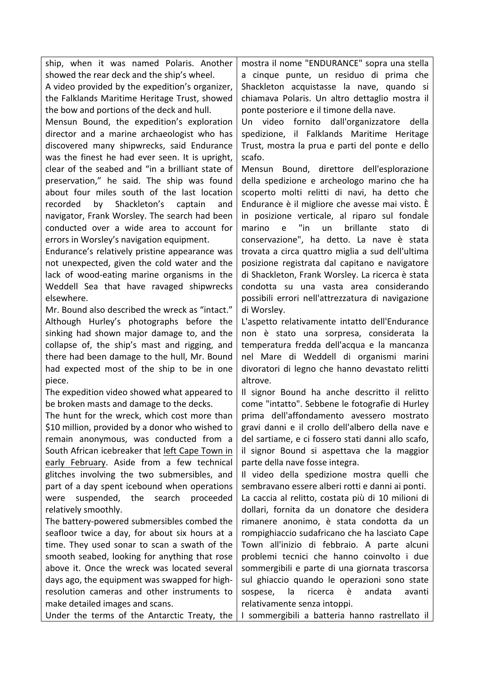ship, when it was named Polaris. Another showed the rear deck and the ship's wheel.

A video provided by the expedition's organizer, the Falklands Maritime Heritage Trust, showed the bow and portions of the deck and hull.

Mensun Bound, the expedition's exploration director and a marine archaeologist who has discovered many shipwrecks, said Endurance was the finest he had ever seen. It is upright, clear of the seabed and "in a brilliant state of preservation," he said. The ship was found about four miles south of the last location recorded by Shackleton's captain and navigator, Frank Worsley. The search had been conducted over a wide area to account for errors in Worsley's navigation equipment.

Endurance's relatively pristine appearance was not unexpected, given the cold water and the lack of wood-eating marine organisms in the Weddell Sea that have ravaged shipwrecks elsewhere.

Mr. Bound also described the wreck as "intact." Although Hurley's photographs before the sinking had shown major damage to, and the collapse of, the ship's mast and rigging, and there had been damage to the hull, Mr. Bound had expected most of the ship to be in one piece.

The expedition video showed what appeared to be broken masts and damage to the decks.

The hunt for the wreck, which cost more than \$10 million, provided by a donor who wished to remain anonymous, was conducted from a South African icebreaker that left Cape Town in early February. Aside from a few technical glitches involving the two submersibles, and part of a day spent icebound when operations were suspended, the search proceeded relatively smoothly.

The battery-powered submersibles combed the seafloor twice a day, for about six hours at a time. They used sonar to scan a swath of the smooth seabed, looking for anything that rose above it. Once the wreck was located several days ago, the equipment was swapped for highresolution cameras and other instruments to make detailed images and scans.

Under the terms of the Antarctic Treaty, the

mostra il nome "ENDURANCE" sopra una stella a cinque punte, un residuo di prima che Shackleton acquistasse la nave, quando si chiamava Polaris. Un altro dettaglio mostra il ponte posteriore e il timone della nave.

Un video fornito dall'organizzatore della spedizione, il Falklands Maritime Heritage Trust, mostra la prua e parti del ponte e dello scafo.

Mensun Bound, direttore dell'esplorazione della spedizione e archeologo marino che ha scoperto molti relitti di navi, ha detto che Endurance è il migliore che avesse mai visto. È in posizione verticale, al riparo sul fondale marino e "in un brillante stato di conservazione", ha detto. La nave è stata trovata a circa quattro miglia a sud dell'ultima posizione registrata dal capitano e navigatore di Shackleton, Frank Worsley. La ricerca è stata condotta su una vasta area considerando possibili errori nell'attrezzatura di navigazione di Worsley.

L'aspetto relativamente intatto dell'Endurance non è stato una sorpresa, considerata la temperatura fredda dell'acqua e la mancanza nel Mare di Weddell di organismi marini divoratori di legno che hanno devastato relitti altrove.

Il signor Bound ha anche descritto il relitto come "intatto". Sebbene le fotografie di Hurley prima dell'affondamento avessero mostrato gravi danni e il crollo dell'albero della nave e del sartiame, e ci fossero stati danni allo scafo, il signor Bound si aspettava che la maggior parte della nave fosse integra.

Il video della spedizione mostra quelli che sembravano essere alberi rotti e danni ai ponti.

La caccia al relitto, costata più di 10 milioni di dollari, fornita da un donatore che desidera rimanere anonimo, è stata condotta da un rompighiaccio sudafricano che ha lasciato Cape Town all'inizio di febbraio. A parte alcuni problemi tecnici che hanno coinvolto i due sommergibili e parte di una giornata trascorsa sul ghiaccio quando le operazioni sono state sospese, la ricerca è andata avanti relativamente senza intoppi.

I sommergibili a batteria hanno rastrellato il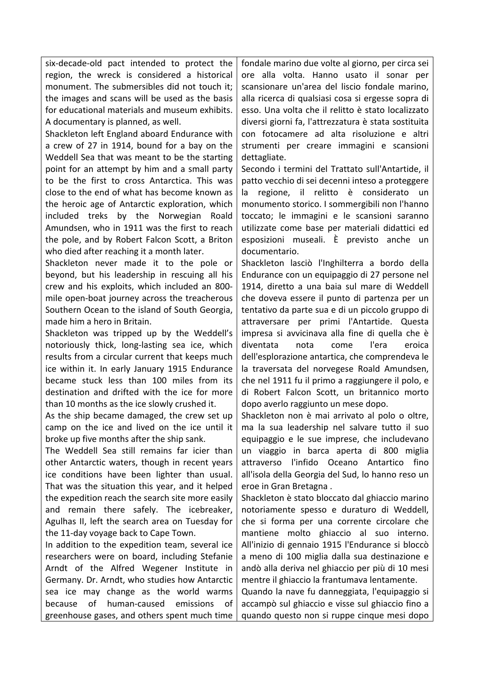six-decade-old pact intended to protect the region, the wreck is considered a historical monument. The submersibles did not touch it: the images and scans will be used as the basis for educational materials and museum exhibits. A documentary is planned, as well.

Shackleton left England aboard Endurance with a crew of 27 in 1914, bound for a bay on the Weddell Sea that was meant to be the starting point for an attempt by him and a small party to be the first to cross Antarctica. This was close to the end of what has become known as the heroic age of Antarctic exploration, which included treks by the Norwegian Roald Amundsen, who in 1911 was the first to reach the pole, and by Robert Falcon Scott, a Briton who died after reaching it a month later.

Shackleton never made it to the pole or beyond, but his leadership in rescuing all his crew and his exploits, which included an 800 mile open-boat journey across the treacherous Southern Ocean to the island of South Georgia, made him a hero in Britain.

Shackleton was tripped up by the Weddell's notoriously thick, long-lasting sea ice, which results from a circular current that keeps much ice within it. In early January 1915 Endurance became stuck less than 100 miles from its destination and drifted with the ice for more than 10 months as the ice slowly crushed it.

As the ship became damaged, the crew set up camp on the ice and lived on the ice until it broke up five months after the ship sank.

The Weddell Sea still remains far icier than other Antarctic waters, though in recent years ice conditions have been lighter than usual. That was the situation this year, and it helped the expedition reach the search site more easily and remain there safely. The icebreaker, Agulhas II, left the search area on Tuesday for the 11-day voyage back to Cape Town.

In addition to the expedition team, several ice researchers were on board, including Stefanie Arndt of the Alfred Wegener Institute in Germany. Dr. Arndt, who studies how Antarctic sea ice may change as the world warms because of human-caused emissions of greenhouse gases, and others spent much time

fondale marino due volte al giorno, per circa sei ore alla volta. Hanno usato il sonar per scansionare un'area del liscio fondale marino, alla ricerca di qualsiasi cosa si ergesse sopra di esso. Una volta che il relitto è stato localizzato diversi giorni fa, l'attrezzatura è stata sostituita con fotocamere ad alta risoluzione e altri strumenti per creare immagini e scansioni dettagliate.

Secondo i termini del Trattato sull'Antartide, il patto vecchio di sei decenni inteso a proteggere la regione, il relitto è considerato un monumento storico. I sommergibili non l'hanno toccato; le immagini e le scansioni saranno utilizzate come base per materiali didattici ed esposizioni museali. È previsto anche un documentario.

Shackleton lasciò l'Inghilterra a bordo della Endurance con un equipaggio di 27 persone nel 1914, diretto a una baia sul mare di Weddell che doveva essere il punto di partenza per un tentativo da parte sua e di un piccolo gruppo di attraversare per primi l'Antartide. Questa impresa si avvicinava alla fine di quella che è diventata nota come l'era eroica dell'esplorazione antartica, che comprendeva le la traversata del norvegese Roald Amundsen, che nel 1911 fu il primo a raggiungere il polo, e di Robert Falcon Scott, un britannico morto dopo averlo raggiunto un mese dopo.

Shackleton non è mai arrivato al polo o oltre, ma la sua leadership nel salvare tutto il suo equipaggio e le sue imprese, che includevano un viaggio in barca aperta di 800 miglia attraverso l'infido Oceano Antartico fino all'isola della Georgia del Sud, lo hanno reso un eroe in Gran Bretagna.

Shackleton è stato bloccato dal ghiaccio marino notoriamente spesso e duraturo di Weddell, che si forma per una corrente circolare che mantiene molto ghiaccio al suo interno. All'inizio di gennaio 1915 l'Endurance si bloccò a meno di 100 miglia dalla sua destinazione e andò alla deriva nel ghiaccio per più di 10 mesi mentre il ghiaccio la frantumava lentamente.

Quando la nave fu danneggiata, l'equipaggio si accampò sul ghiaccio e visse sul ghiaccio fino a quando questo non si ruppe cinque mesi dopo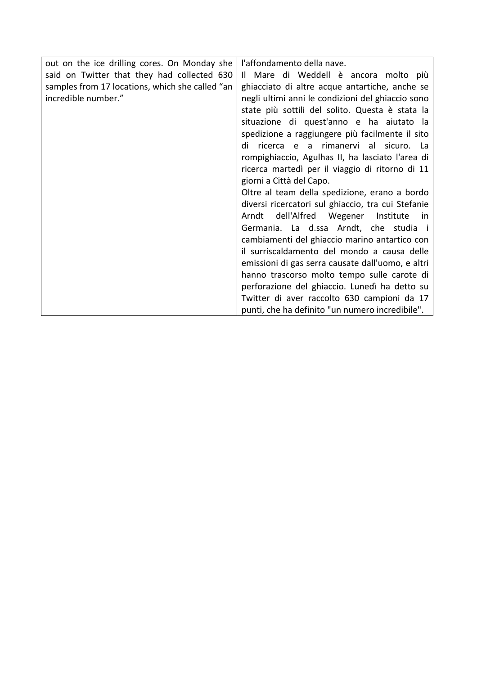| out on the ice drilling cores. On Monday she    | l'affondamento della nave.                         |
|-------------------------------------------------|----------------------------------------------------|
| said on Twitter that they had collected 630     | Il Mare di Weddell è ancora molto più              |
| samples from 17 locations, which she called "an | ghiacciato di altre acque antartiche, anche se     |
| incredible number."                             | negli ultimi anni le condizioni del ghiaccio sono  |
|                                                 | state più sottili del solito. Questa è stata la    |
|                                                 | situazione di quest'anno e ha aiutato la           |
|                                                 | spedizione a raggiungere più facilmente il sito    |
|                                                 | ricerca e a rimanervi al sicuro. La<br>di          |
|                                                 | rompighiaccio, Agulhas II, ha lasciato l'area di   |
|                                                 | ricerca martedì per il viaggio di ritorno di 11    |
|                                                 | giorni a Città del Capo.                           |
|                                                 | Oltre al team della spedizione, erano a bordo      |
|                                                 | diversi ricercatori sul ghiaccio, tra cui Stefanie |
|                                                 | Arndt dell'Alfred Wegener Institute<br>in.         |
|                                                 | Germania. La d.ssa Arndt, che studia i             |
|                                                 | cambiamenti del ghiaccio marino antartico con      |
|                                                 | il surriscaldamento del mondo a causa delle        |
|                                                 | emissioni di gas serra causate dall'uomo, e altri  |
|                                                 | hanno trascorso molto tempo sulle carote di        |
|                                                 | perforazione del ghiaccio. Lunedì ha detto su      |
|                                                 | Twitter di aver raccolto 630 campioni da 17        |
|                                                 | punti, che ha definito "un numero incredibile".    |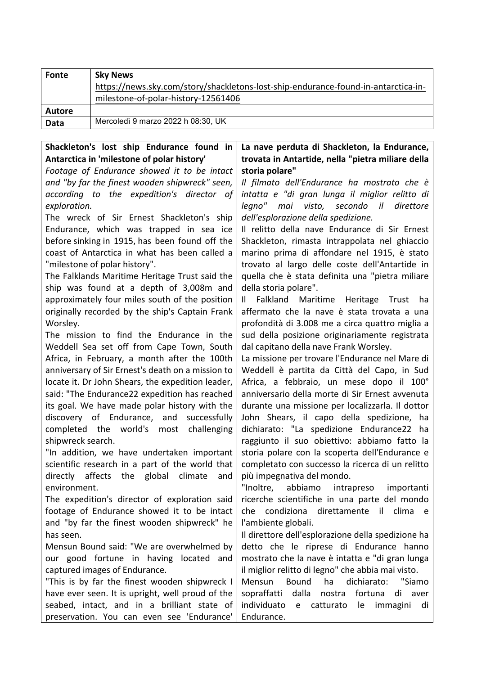| Fonte  | <b>Sky News</b>                                                                    |
|--------|------------------------------------------------------------------------------------|
|        | https://news.sky.com/story/shackletons-lost-ship-endurance-found-in-antarctica-in- |
|        | milestone-of-polar-history-12561406                                                |
| Autore |                                                                                    |
| Data   | Mercoledì 9 marzo 2022 h 08:30, UK                                                 |

## Shackleton's lost ship Endurance found in Antarctica in 'milestone of polar history'

Footage of Endurance showed it to be intact and "by far the finest wooden shipwreck" seen, *according to the expedition's director of exploration.*

The wreck of Sir Ernest Shackleton's ship Endurance, which was trapped in sea ice before sinking in 1915, has been found off the coast of Antarctica in what has been called a "milestone of polar history".

The Falklands Maritime Heritage Trust said the ship was found at a depth of 3,008m and approximately four miles south of the position originally recorded by the ship's Captain Frank Worsley.

The mission to find the Endurance in the Weddell Sea set off from Cape Town, South Africa, in February, a month after the 100th anniversary of Sir Ernest's death on a mission to locate it. Dr John Shears, the expedition leader, said: "The Endurance22 expedition has reached its goal. We have made polar history with the discovery of Endurance, and successfully completed the world's most challenging shipwreck search.

"In addition, we have undertaken important scientific research in a part of the world that directly affects the global climate and environment.

The expedition's director of exploration said footage of Endurance showed it to be intact and "by far the finest wooden shipwreck" he has seen.

Mensun Bound said: "We are overwhelmed by our good fortune in having located and captured images of Endurance.

"This is by far the finest wooden shipwreck I have ever seen. It is upright, well proud of the seabed, intact, and in a brilliant state of preservation. You can even see 'Endurance'

## La nave perduta di Shackleton, la Endurance, trovata in Antartide, nella "pietra miliare della **storia polare"**

*Il filmato dell'Endurance ha mostrato che è intatta e "di gran lunga il miglior relitto di legno" mai visto, secondo il direttore dell'esplorazione della spedizione.*

Il relitto della nave Endurance di Sir Ernest Shackleton, rimasta intrappolata nel ghiaccio marino prima di affondare nel 1915, è stato trovato al largo delle coste dell'Antartide in quella che è stata definita una "pietra miliare della storia polare".

Il Falkland Maritime Heritage Trust ha affermato che la nave è stata trovata a una profondità di 3.008 me a circa quattro miglia a sud della posizione originariamente registrata dal capitano della nave Frank Worsley.

La missione per trovare l'Endurance nel Mare di Weddell è partita da Città del Capo, in Sud Africa, a febbraio, un mese dopo il 100° anniversario della morte di Sir Ernest avvenuta durante una missione per localizzarla. Il dottor John Shears, il capo della spedizione, ha dichiarato: "La spedizione Endurance22 ha raggiunto il suo obiettivo: abbiamo fatto la storia polare con la scoperta dell'Endurance e completato con successo la ricerca di un relitto più impegnativa del mondo.

"Inoltre, abbiamo intrapreso importanti ricerche scientifiche in una parte del mondo che condiziona direttamente il clima e l'ambiente globali.

Il direttore dell'esplorazione della spedizione ha detto che le riprese di Endurance hanno mostrato che la nave è intatta e "di gran lunga il miglior relitto di legno" che abbia mai visto.

Mensun Bound ha dichiarato: "Siamo sopraffatti dalla nostra fortuna di aver individuato e catturato le immagini di Endurance.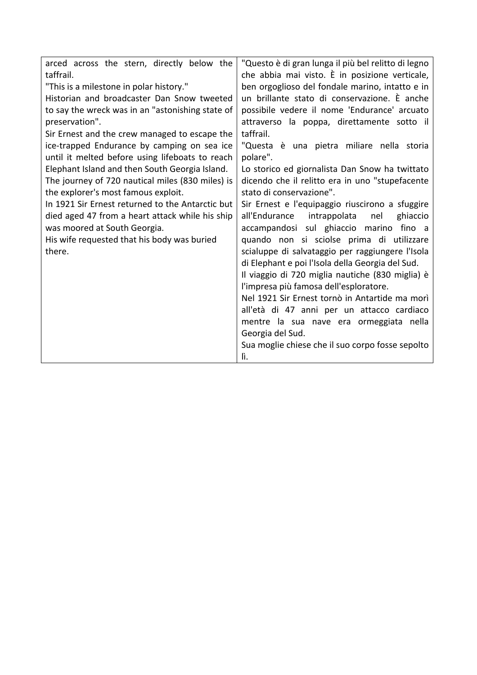| arced across the stern, directly below the       | "Questo è di gran lunga il più bel relitto di legno |
|--------------------------------------------------|-----------------------------------------------------|
| taffrail.                                        | che abbia mai visto. È in posizione verticale,      |
| "This is a milestone in polar history."          | ben orgoglioso del fondale marino, intatto e in     |
| Historian and broadcaster Dan Snow tweeted       | un brillante stato di conservazione. È anche        |
| to say the wreck was in an "astonishing state of | possibile vedere il nome 'Endurance' arcuato        |
| preservation".                                   | attraverso la poppa, direttamente sotto il          |
| Sir Ernest and the crew managed to escape the    | taffrail.                                           |
| ice-trapped Endurance by camping on sea ice      | "Questa è una pietra miliare nella storia           |
| until it melted before using lifeboats to reach  | polare".                                            |
| Elephant Island and then South Georgia Island.   | Lo storico ed giornalista Dan Snow ha twittato      |
| The journey of 720 nautical miles (830 miles) is | dicendo che il relitto era in uno "stupefacente     |
| the explorer's most famous exploit.              | stato di conservazione".                            |
| In 1921 Sir Ernest returned to the Antarctic but | Sir Ernest e l'equipaggio riuscirono a sfuggire     |
| died aged 47 from a heart attack while his ship  | all'Endurance<br>intrappolata<br>ghiaccio<br>nel    |
| was moored at South Georgia.                     | accampandosi sul ghiaccio marino fino a             |
| His wife requested that his body was buried      | quando non si sciolse prima di utilizzare           |
| there.                                           | scialuppe di salvataggio per raggiungere l'Isola    |
|                                                  | di Elephant e poi l'Isola della Georgia del Sud.    |
|                                                  | Il viaggio di 720 miglia nautiche (830 miglia) è    |
|                                                  | l'impresa più famosa dell'esploratore.              |
|                                                  | Nel 1921 Sir Ernest tornò in Antartide ma morì      |
|                                                  | all'età di 47 anni per un attacco cardiaco          |
|                                                  | mentre la sua nave era ormeggiata nella             |
|                                                  | Georgia del Sud.                                    |
|                                                  | Sua moglie chiese che il suo corpo fosse sepolto    |
|                                                  | lì.                                                 |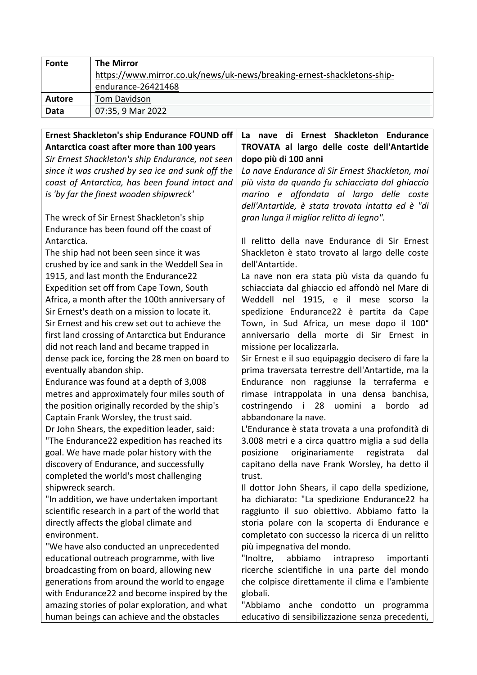| <b>Fonte</b>  | <b>The Mirror</b>                                                       |
|---------------|-------------------------------------------------------------------------|
|               | https://www.mirror.co.uk/news/uk-news/breaking-ernest-shackletons-ship- |
|               | endurance-26421468                                                      |
| <b>Autore</b> | <b>Tom Davidson</b>                                                     |
| <b>Data</b>   | 07:35, 9 Mar 2022                                                       |

**Ernest Shackleton's ship Endurance FOUND off** Antarctica coast after more than 100 years *Sir Ernest Shackleton's ship Endurance, not seen* since it was crushed by sea ice and sunk off the *coast of Antarctica, has been found intact and is* 'by far the finest wooden shipwreck' The wreck of Sir Ernest Shackleton's ship Endurance has been found off the coast of Antarctica. The ship had not been seen since it was crushed by ice and sank in the Weddell Sea in 1915, and last month the Endurance22 Expedition set off from Cape Town, South Africa, a month after the 100th anniversary of Sir Ernest's death on a mission to locate it. Sir Ernest and his crew set out to achieve the first land crossing of Antarctica but Endurance did not reach land and became trapped in dense pack ice, forcing the 28 men on board to eventually abandon ship. Endurance was found at a depth of 3,008 metres and approximately four miles south of the position originally recorded by the ship's Captain Frank Worsley, the trust said. Dr John Shears, the expedition leader, said: "The Endurance22 expedition has reached its goal. We have made polar history with the discovery of Endurance, and successfully completed the world's most challenging shipwreck search. "In addition, we have undertaken important scientific research in a part of the world that directly affects the global climate and environment. "We have also conducted an unprecedented educational outreach programme, with live broadcasting from on board, allowing new generations from around the world to engage with Endurance22 and become inspired by the amazing stories of polar exploration, and what human beings can achieve and the obstacles La nave di Ernest Shackleton Endurance **TROVATA al largo delle coste dell'Antartide dopo più di 100 anni** La nave Endurance di Sir Ernest Shackleton, mai *più vista da quando fu schiacciata dal ghiaccio marino e affondata al largo delle coste*  dell'Antartide, è stata trovata intatta ed è "di *gran lunga il miglior relitto di legno".* Il relitto della nave Endurance di Sir Ernest Shackleton è stato trovato al largo delle coste dell'Antartide. La nave non era stata più vista da quando fu schiacciata dal ghiaccio ed affondò nel Mare di Weddell nel 1915, e il mese scorso la spedizione Endurance22 è partita da Cape Town, in Sud Africa, un mese dopo il 100° anniversario della morte di Sir Ernest in missione per localizzarla. Sir Ernest e il suo equipaggio decisero di fare la prima traversata terrestre dell'Antartide, ma la Endurance non raggiunse la terraferma e rimase intrappolata in una densa banchisa, costringendo i 28 uomini a bordo ad abbandonare la nave. L'Endurance è stata trovata a una profondità di 3.008 metri e a circa quattro miglia a sud della posizione originariamente registrata dal capitano della nave Frank Worsley, ha detto il trust. Il dottor John Shears, il capo della spedizione, ha dichiarato: "La spedizione Endurance22 ha raggiunto il suo obiettivo. Abbiamo fatto la storia polare con la scoperta di Endurance e completato con successo la ricerca di un relitto più impegnativa del mondo. "Inoltre, abbiamo intrapreso importanti ricerche scientifiche in una parte del mondo che colpisce direttamente il clima e l'ambiente globali. "Abbiamo anche condotto un programma educativo di sensibilizzazione senza precedenti,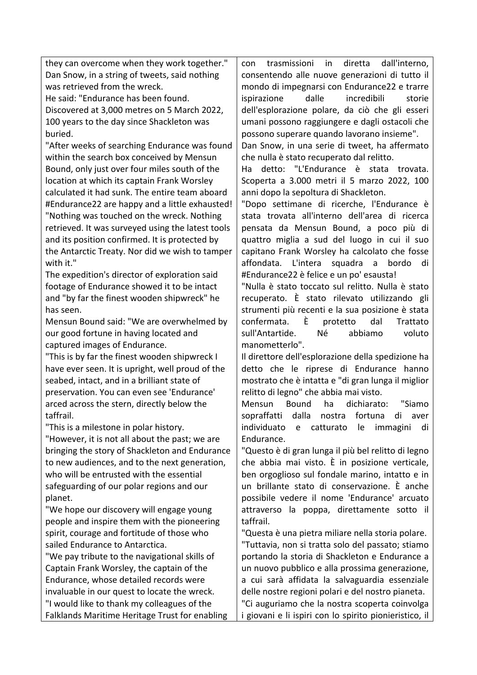they can overcome when they work together." Dan Snow, in a string of tweets, said nothing was retrieved from the wreck.

He said: "Endurance has been found. Discovered at 3,000 metres on 5 March 2022, 100 years to the day since Shackleton was buried.

"After weeks of searching Endurance was found within the search box conceived by Mensun Bound, only just over four miles south of the location at which its captain Frank Worsley calculated it had sunk. The entire team aboard #Endurance22 are happy and a little exhausted! "Nothing was touched on the wreck. Nothing retrieved. It was surveyed using the latest tools and its position confirmed. It is protected by the Antarctic Treaty. Nor did we wish to tamper with it."

The expedition's director of exploration said footage of Endurance showed it to be intact and "by far the finest wooden shipwreck" he has seen.

Mensun Bound said: "We are overwhelmed by our good fortune in having located and captured images of Endurance.

"This is by far the finest wooden shipwreck I have ever seen. It is upright, well proud of the seabed, intact, and in a brilliant state of preservation. You can even see 'Endurance' arced across the stern, directly below the taffrail.

"This is a milestone in polar history.

"However, it is not all about the past; we are bringing the story of Shackleton and Endurance to new audiences, and to the next generation, who will be entrusted with the essential safeguarding of our polar regions and our planet.

"We hope our discovery will engage young people and inspire them with the pioneering spirit, courage and fortitude of those who sailed Endurance to Antarctica.

"We pay tribute to the navigational skills of Captain Frank Worsley, the captain of the Endurance, whose detailed records were invaluable in our quest to locate the wreck. "I would like to thank my colleagues of the Falklands Maritime Heritage Trust for enabling con trasmissioni in diretta dall'interno, consentendo alle nuove generazioni di tutto il mondo di impegnarsi con Endurance22 e trarre ispirazione dalle incredibili storie dell'esplorazione polare, da ciò che gli esseri umani possono raggiungere e dagli ostacoli che possono superare quando lavorano insieme".

Dan Snow, in una serie di tweet, ha affermato che nulla è stato recuperato dal relitto.

Ha detto: "L'Endurance è stata trovata. Scoperta a 3.000 metri il 5 marzo 2022, 100 anni dopo la sepoltura di Shackleton.

"Dopo settimane di ricerche, l'Endurance è stata trovata all'interno dell'area di ricerca pensata da Mensun Bound, a poco più di quattro miglia a sud del luogo in cui il suo capitano Frank Worsley ha calcolato che fosse affondata. L'intera squadra a bordo di #Endurance22 è felice e un po' esausta!

"Nulla è stato toccato sul relitto. Nulla è stato recuperato. È stato rilevato utilizzando gli strumenti più recenti e la sua posizione è stata confermata. È protetto dal Trattato sull'Antartide. Né abbiamo voluto manometterlo".

Il direttore dell'esplorazione della spedizione ha detto che le riprese di Endurance hanno mostrato che è intatta e "di gran lunga il miglior relitto di legno" che abbia mai visto.

Mensun Bound ha dichiarato: "Siamo sopraffatti dalla nostra fortuna di aver individuato e catturato le immagini di Endurance.

"Questo è di gran lunga il più bel relitto di legno che abbia mai visto. È in posizione verticale, ben orgoglioso sul fondale marino, intatto e in un brillante stato di conservazione. È anche possibile vedere il nome 'Endurance' arcuato attraverso la poppa, direttamente sotto il taffrail.

"Questa è una pietra miliare nella storia polare. "Tuttavia, non si tratta solo del passato; stiamo portando la storia di Shackleton e Endurance a un nuovo pubblico e alla prossima generazione, a cui sarà affidata la salvaguardia essenziale delle nostre regioni polari e del nostro pianeta.

"Ci auguriamo che la nostra scoperta coinvolga i giovani e li ispiri con lo spirito pionieristico, il